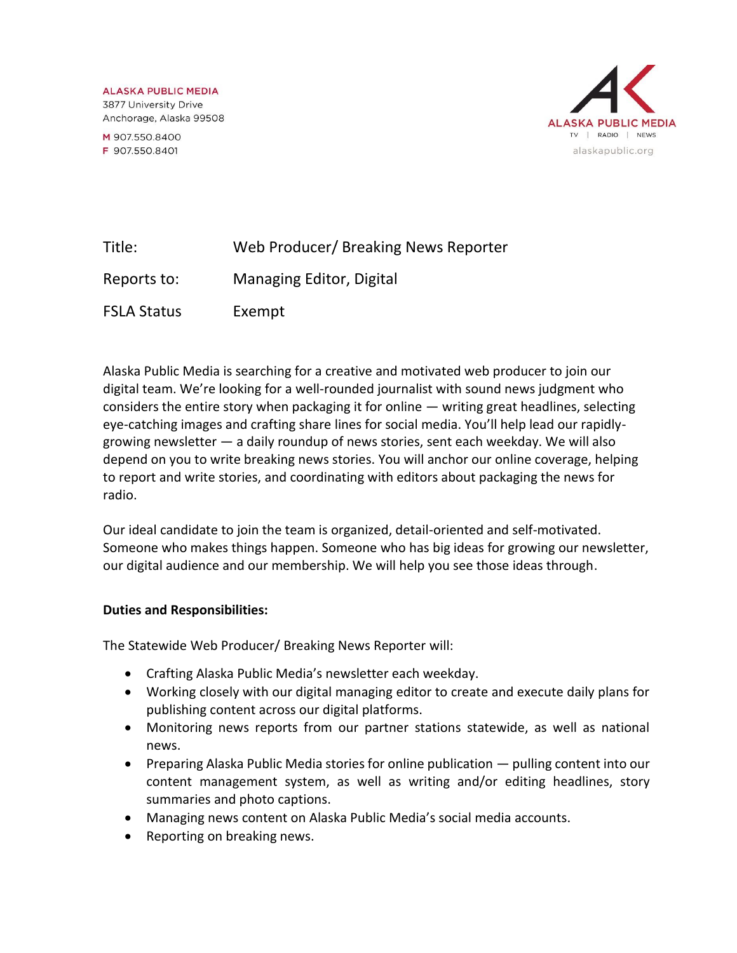**ALASKA PUBLIC MEDIA** 3877 University Drive Anchorage, Alaska 99508

M 907.550.8400 F 907.550.8401



| Title:             | Web Producer/ Breaking News Reporter |
|--------------------|--------------------------------------|
| Reports to:        | Managing Editor, Digital             |
| <b>FSLA Status</b> | Exempt                               |

Alaska Public Media is searching for a creative and motivated web producer to join our digital team. We're looking for a well-rounded journalist with sound news judgment who considers the entire story when packaging it for online — writing great headlines, selecting eye-catching images and crafting share lines for social media. You'll help lead our rapidlygrowing newsletter — a daily roundup of news stories, sent each weekday. We will also depend on you to write breaking news stories. You will anchor our online coverage, helping to report and write stories, and coordinating with editors about packaging the news for radio.

Our ideal candidate to join the team is organized, detail-oriented and self-motivated. Someone who makes things happen. Someone who has big ideas for growing our newsletter, our digital audience and our membership. We will help you see those ideas through.

#### **Duties and Responsibilities:**

The Statewide Web Producer/ Breaking News Reporter will:

- Crafting Alaska Public Media's newsletter each weekday.
- Working closely with our digital managing editor to create and execute daily plans for publishing content across our digital platforms.
- Monitoring news reports from our partner stations statewide, as well as national news.
- Preparing Alaska Public Media stories for online publication pulling content into our content management system, as well as writing and/or editing headlines, story summaries and photo captions.
- Managing news content on Alaska Public Media's social media accounts.
- Reporting on breaking news.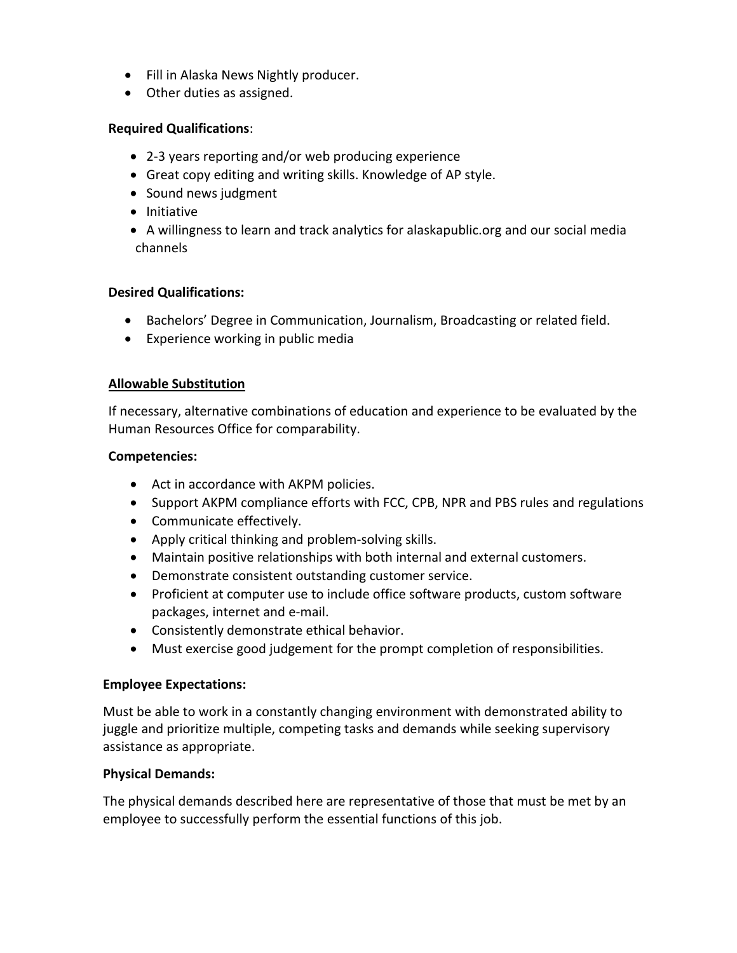- Fill in Alaska News Nightly producer.
- Other duties as assigned.

# **Required Qualifications**:

- 2-3 years reporting and/or web producing experience
- Great copy editing and writing skills. Knowledge of AP style.
- Sound news judgment
- Initiative
- A willingness to learn and track analytics for alaskapublic.org and our social media channels

# **Desired Qualifications:**

- Bachelors' Degree in Communication, Journalism, Broadcasting or related field.
- Experience working in public media

### **Allowable Substitution**

If necessary, alternative combinations of education and experience to be evaluated by the Human Resources Office for comparability.

### **Competencies:**

- Act in accordance with AKPM policies.
- Support AKPM compliance efforts with FCC, CPB, NPR and PBS rules and regulations
- Communicate effectively.
- Apply critical thinking and problem-solving skills.
- Maintain positive relationships with both internal and external customers.
- Demonstrate consistent outstanding customer service.
- Proficient at computer use to include office software products, custom software packages, internet and e-mail.
- Consistently demonstrate ethical behavior.
- Must exercise good judgement for the prompt completion of responsibilities.

# **Employee Expectations:**

Must be able to work in a constantly changing environment with demonstrated ability to juggle and prioritize multiple, competing tasks and demands while seeking supervisory assistance as appropriate.

# **Physical Demands:**

The physical demands described here are representative of those that must be met by an employee to successfully perform the essential functions of this job.